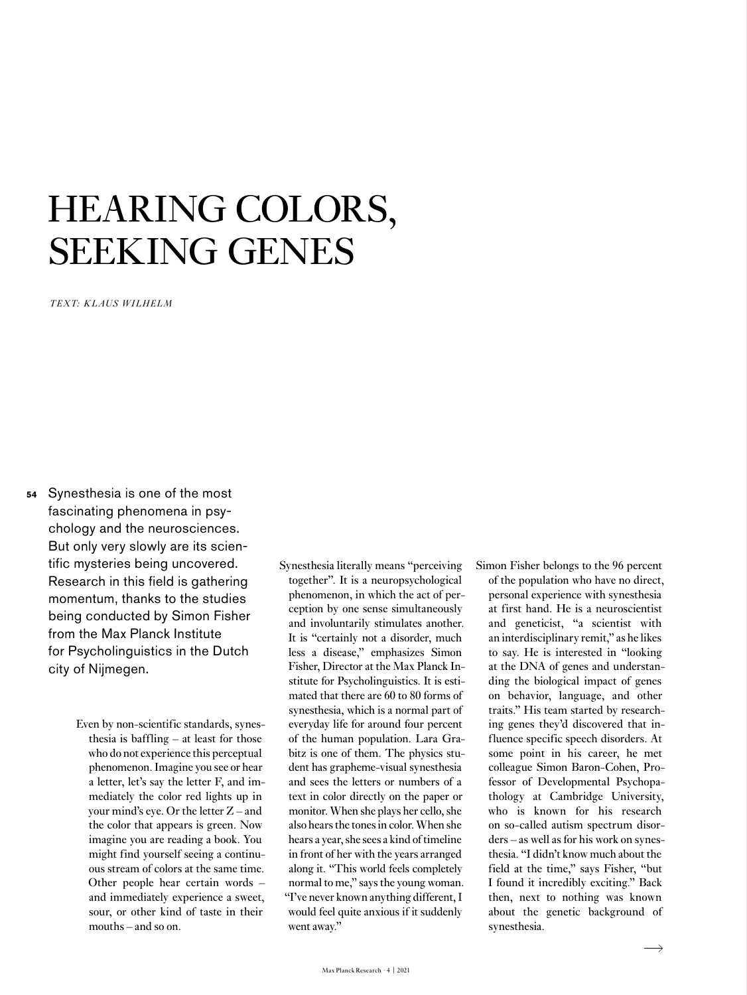# HEARING COLORS, SEEKING GENES

*TEXT: KLAUS WILHELM*

- Synesthesia is one of the most fascinating phenomena in psychology and the neurosciences. But only very slowly are its scientific mysteries being uncovered. Research in this field is gathering momentum, thanks to the studies being conducted by Simon Fisher from the Max Planck Institute for Psycholinguistics in the Dutch city of Nijmegen. **54**
	- Even by non-scientific standards, synesthesia is baffling – at least for those who do not experience this perceptual phenomenon. Imagine you see or hear a letter, let's say the letter F, and immediately the color red lights up in your mind's eye. Or the letter Z – and the color that appears is green. Now imagine you are reading a book. You might find yourself seeing a continuous stream of colors at the same time. Other people hear certain words – and immediately experience a sweet, sour, or other kind of taste in their mouths – and so on.
- Synesthesia literally means "perceiving together". It is a neuropsychological phenomenon, in which the act of perception by one sense simultaneously and involuntarily stimulates another. It is "certainly not a disorder, much less a disease," emphasizes Simon Fisher, Director at the Max Planck Institute for Psycholinguistics. It is estimated that there are 60 to 80 forms of synesthesia, which is a normal part of everyday life for around four percent of the human population. Lara Grabitz is one of them. The physics student has grapheme-visual synesthesia and sees the letters or numbers of a text in color directly on the paper or monitor. When she plays her cello, she also hears the tones in color. When she hears a year, she sees a kind of timeline in front of her with the years arranged along it. "This world feels completely normal to me," says the young woman. "I've never known anything different, I would feel quite anxious if it suddenly went away."
- Simon Fisher belongs to the 96 percent of the population who have no direct, personal experience with synesthesia at first hand. He is a neuroscientist and geneticist, "a scientist with an interdisciplinary remit," as he likes to say. He is interested in "looking at the DNA of genes and understanding the biological impact of genes on behavior, language, and other traits." His team started by researching genes they'd discovered that influence specific speech disorders. At some point in his career, he met colleague Simon Baron-Cohen, Professor of Developmental Psychopathology at Cambridge University, who is known for his research on so-called autism spectrum disorders – as well as for his work on synesthesia. "I didn't know much about the field at the time," says Fisher, "but I found it incredibly exciting." Back then, next to nothing was known about the genetic background of synesthesia.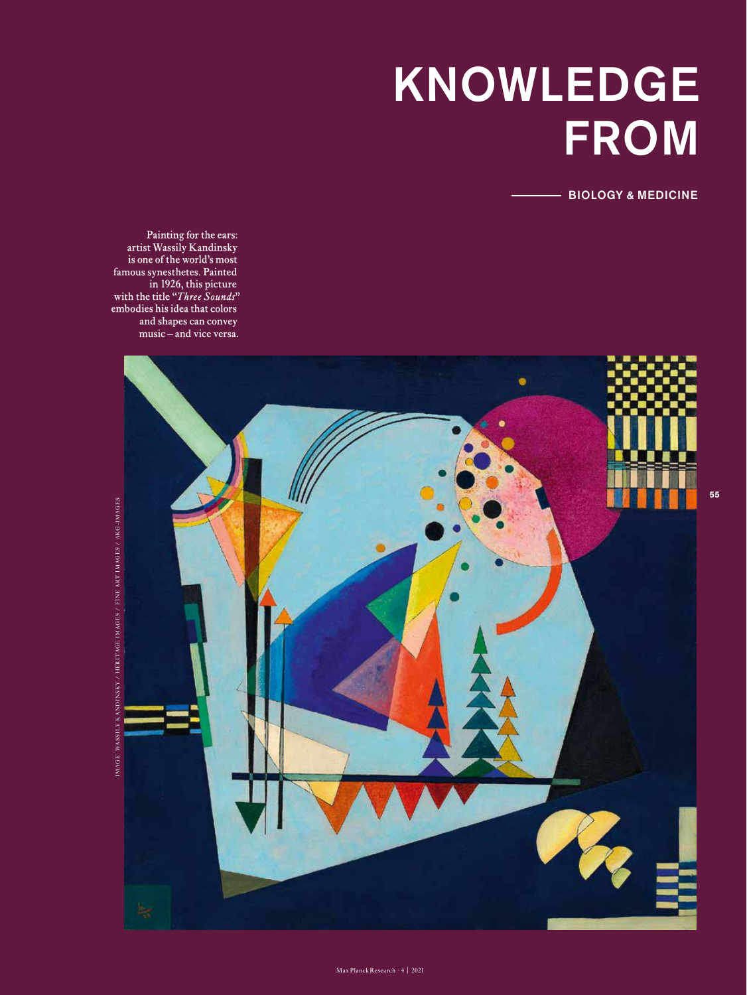# KNOWLEDGE **FROM**

BIOLOGY & MEDICINE

Painting for the ears: artist Wassily Kandinsky is one of the world's most famous synesthetes. Painted in 1926, this picture with the title "*Three Sounds*" embodies his idea that colors and shapes can convey music – and vice versa.

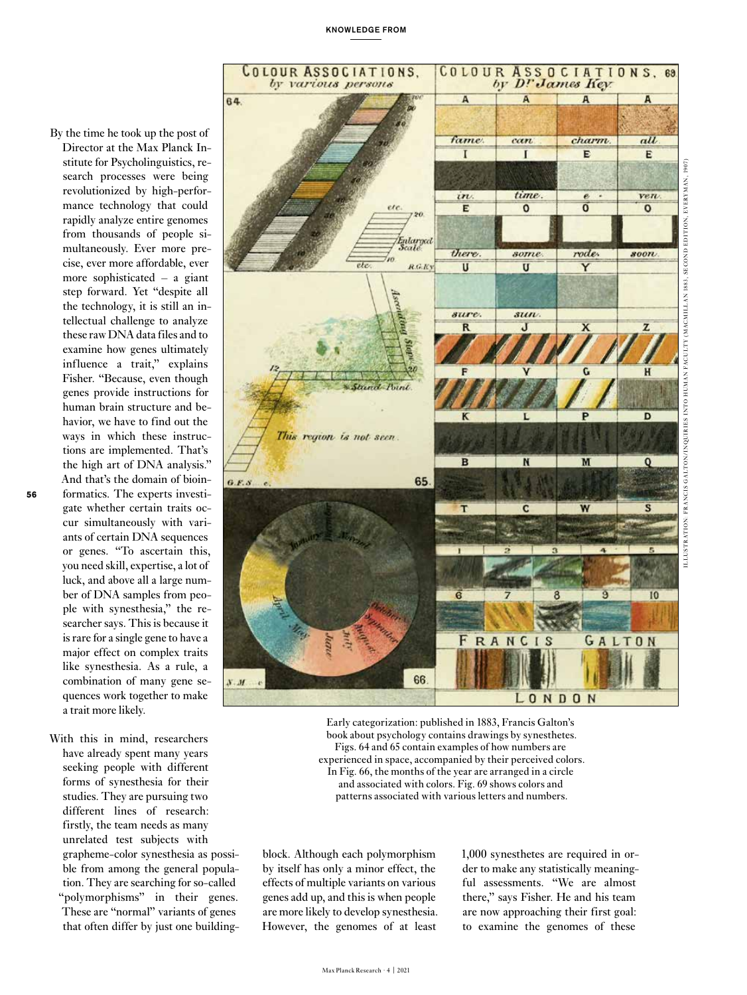- revolutionized by high-perfor mance technology that could rapidly analyze entire genomes from thousands of people si multaneously. Ever more pre cise, ever more affordable, ever more sophisticated – a giant step forward. Yet "despite all the technology, it is still an in tellectual challenge to analyze these raw DNA data files and to examine how genes ultimately influence a trait," explains Fisher. "Because, even though genes provide instructions for human brain structure and be havior, we have to find out the ways in which these instruc tions are implemented. That's the high art of DNA analysis." And that's the domain of bioin -  $G.F.S$ formatics. The experts investi -
- gate whether certain traits oc cur simultaneously with vari ants of certain DNA sequences or genes. "To ascertain this, you need skill, expertise, a lot of luck, and above all a large num ber of DNA samples from peo ple with synesthesia," the re searcher says. This is because it is rare for a single gene to have a major effect on complex traits like synesthesia. As a rule, a combination of many gene se quences work together to make a trait more likely.

By the time he took up the post of Director at the Max Planck In stitute for Psycholinguistics, re search processes were being

With this in mind, researchers have already spent many years seeking people with different forms of synesthesia for their studies. They are pursuing two different lines of research: firstly, the team needs as many unrelated test subjects with grapheme-color synesthesia as possi ble from among the general popula tion. They are searching for so-called "polymorphisms" in their genes. These are "normal" variants of genes that often differ by just one building -



Early categorization: published in 1883, Francis Galton's book about psychology contains drawings by synesthetes. Figs. 64 and 65 contain examples of how numbers are experienced in space, accompanied by their perceived colors. In Fig. 66, the months of the year are arranged in a circle and associated with colors. Fig. 69 shows colors and patterns associated with various letters and numbers.

block. Although each polymorphism by itself has only a minor effect, the effects of multiple variants on various genes add up, and this is when people are more likely to develop synesthesia. However, the genomes of at least 1,000 synesthetes are required in or der to make any statistically meaning ful assessments. "We are almost there," says Fisher. He and his team are now approaching their first goal: to examine the genomes of these

Max Planck Research · 4 | 2021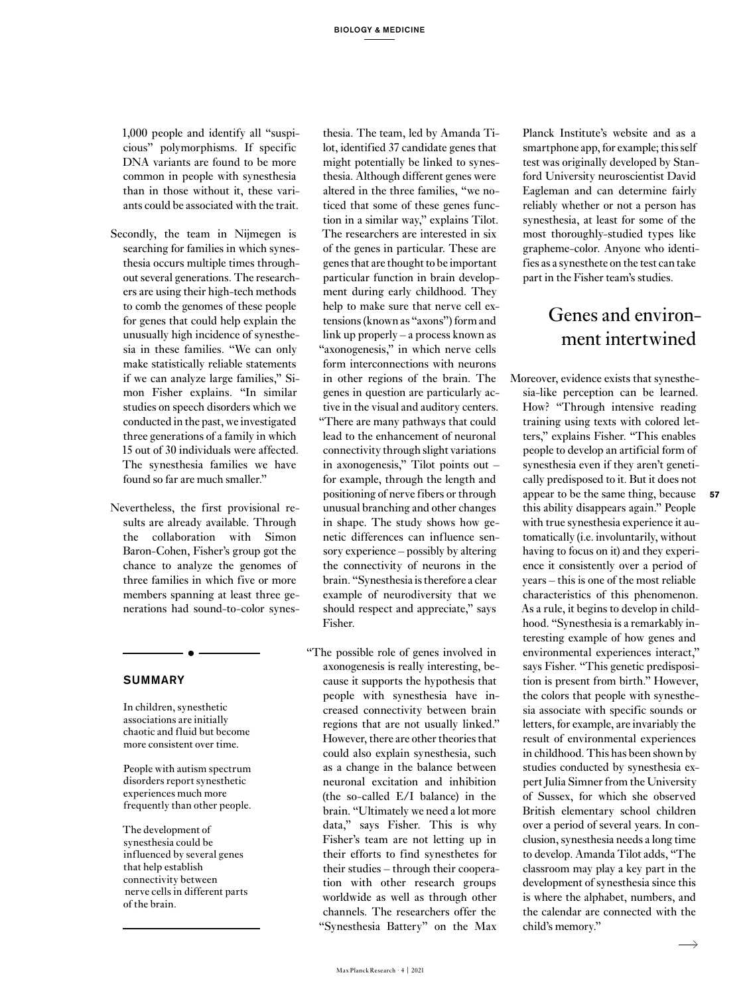1,000 people and identify all "suspicious" polymorphisms. If specific DNA variants are found to be more common in people with synesthesia than in those without it, these variants could be associated with the trait.

- Secondly, the team in Nijmegen is searching for families in which synesthesia occurs multiple times throughout several generations. The researchers are using their high-tech methods to comb the genomes of these people for genes that could help explain the unusually high incidence of synesthesia in these families. "We can only make statistically reliable statements if we can analyze large families," Simon Fisher explains. "In similar studies on speech disorders which we conducted in the past, we investigated three generations of a family in which 15 out of 30 individuals were affected. The synesthesia families we have found so far are much smaller."
- Nevertheless, the first provisional results are already available. Through the collaboration with Simon Baron-Cohen, Fisher's group got the chance to analyze the genomes of three families in which five or more members spanning at least three generations had sound-to-color synes-

#### **SUMMARY**

In children, synesthetic associations are initially chaotic and fluid but become more consistent over time.

 $\bullet$   $-$ 

People with autism spectrum disorders report synesthetic experiences much more frequently than other people.

The development of synesthesia could be influenced by several genes that help establish connectivity between nerve cells in different parts of the brain.

thesia. The team, led by Amanda Tilot, identified 37 candidate genes that might potentially be linked to synesthesia. Although different genes were altered in the three families, "we noticed that some of these genes function in a similar way," explains Tilot. The researchers are interested in six of the genes in particular. These are genes that are thought to be important particular function in brain development during early childhood. They help to make sure that nerve cell extensions (known as "axons") form and link up properly – a process known as "axonogenesis," in which nerve cells form interconnections with neurons in other regions of the brain. The genes in question are particularly active in the visual and auditory centers. "There are many pathways that could lead to the enhancement of neuronal connectivity through slight variations in axonogenesis," Tilot points out – for example, through the length and positioning of nerve fibers or through unusual branching and other changes in shape. The study shows how genetic differences can influence sensory experience – possibly by altering the connectivity of neurons in the brain. "Synesthesia is therefore a clear example of neurodiversity that we should respect and appreciate," says Fisher.

"The possible role of genes involved in axonogenesis is really interesting, because it supports the hypothesis that people with synesthesia have increased connectivity between brain regions that are not usually linked." However, there are other theories that could also explain synesthesia, such as a change in the balance between neuronal excitation and inhibition (the so-called E/I balance) in the brain. "Ultimately we need a lot more data," says Fisher. This is why Fisher's team are not letting up in their efforts to find synesthetes for their studies – through their cooperation with other research groups worldwide as well as through other channels. The researchers offer the "Synesthesia Battery" on the Max

Planck Institute's website and as a smartphone app, for example; this self test was originally developed by Stanford University neuroscientist David Eagleman and can determine fairly reliably whether or not a person has synesthesia, at least for some of the most thoroughly-studied types like grapheme-color. Anyone who identifies as a synesthete on the test can take part in the Fisher team's studies.

### Genes and environment intertwined

Moreover, evidence exists that synesthesia-like perception can be learned. How? "Through intensive reading training using texts with colored letters," explains Fisher. "This enables people to develop an artificial form of synesthesia even if they aren't genetically predisposed to it. But it does not appear to be the same thing, because this ability disappears again." People with true synesthesia experience it automatically (i.e. involuntarily, without having to focus on it) and they experience it consistently over a period of years – this is one of the most reliable characteristics of this phenomenon. As a rule, it begins to develop in childhood. "Synesthesia is a remarkably interesting example of how genes and environmental experiences interact," says Fisher. "This genetic predisposition is present from birth." However, the colors that people with synesthesia associate with specific sounds or letters, for example, are invariably the result of environmental experiences in childhood. This has been shown by studies conducted by synesthesia expert Julia Simner from the University of Sussex, for which she observed British elementary school children over a period of several years. In conclusion, synesthesia needs a long time to develop. Amanda Tilot adds, "The classroom may play a key part in the development of synesthesia since this is where the alphabet, numbers, and the calendar are connected with the child's memory."

**57**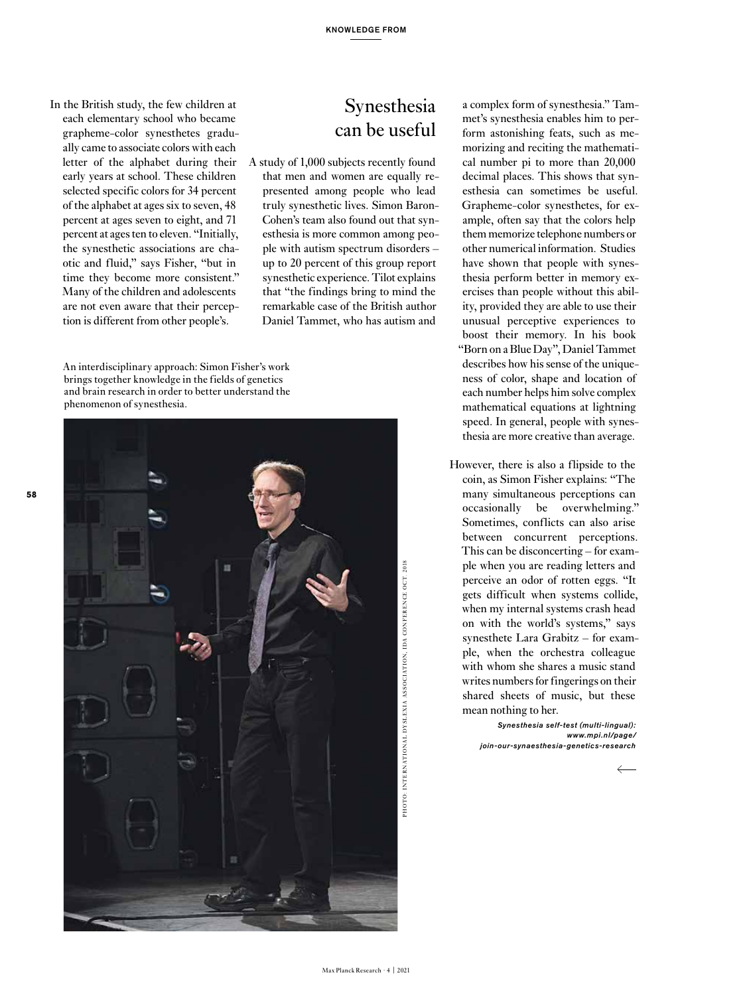In the British study, the few children at each elementary school who became grapheme-color synesthetes gradually came to associate colors with each letter of the alphabet during their early years at school. These children selected specific colors for 34 percent of the alphabet at ages six to seven, 48 percent at ages seven to eight, and 71 percent at ages ten to eleven. "Initially, the synesthetic associations are chaotic and fluid," says Fisher, "but in time they become more consistent." Many of the children and adolescents are not even aware that their perception is different from other people's.

### Synesthesia can be useful

A study of 1,000 subjects recently found that men and women are equally represented among people who lead truly synesthetic lives. Simon Baron-Cohen's team also found out that synesthesia is more common among people with autism spectrum disorders – up to 20 percent of this group report synesthetic experience. Tilot explains that "the findings bring to mind the remarkable case of the British author Daniel Tammet, who has autism and

An interdisciplinary approach: Simon Fisher's work brings together knowledge in the fields of genetics and brain research in order to better understand the phenomenon of synesthesia.



a complex form of synesthesia." Tammet's synesthesia enables him to perform astonishing feats, such as memorizing and reciting the mathematical number pi to more than 20,000 decimal places. This shows that synesthesia can sometimes be useful. Grapheme-color synesthetes, for example, often say that the colors help them memorize telephone numbers or other numerical information. Studies have shown that people with synesthesia perform better in memory exercises than people without this ability, provided they are able to use their unusual perceptive experiences to boost their memory. In his book "Born on a Blue Day", Daniel Tammet describes how his sense of the uniqueness of color, shape and location of each number helps him solve complex mathematical equations at lightning speed. In general, people with synesthesia are more creative than average.

However, there is also a flipside to the coin, as Simon Fisher explains: "The many simultaneous perceptions can occasionally be overwhelming." Sometimes, conflicts can also arise between concurrent perceptions. This can be disconcerting – for example when you are reading letters and perceive an odor of rotten eggs. "It gets difficult when systems collide, when my internal systems crash head on with the world's systems," says synesthete Lara Grabitz – for example, when the orchestra colleague with whom she shares a music stand writes numbers for fingerings on their shared sheets of music, but these mean nothing to her.

> *Synesthesia self-test (multi-lingual): www.mpi.nl/page/ join-our-synaesthesia-genetics-research*

> > $\leftarrow$

PHOTO: INTER NATIONAL DYSLEXIA ASSOCIATION, IDA CONFER ENCE OCT. 2018

PHOTO: INTERNATIONAL DYSLEXIA ASSOCIATION, IDA CONFERENCE OCT. 2018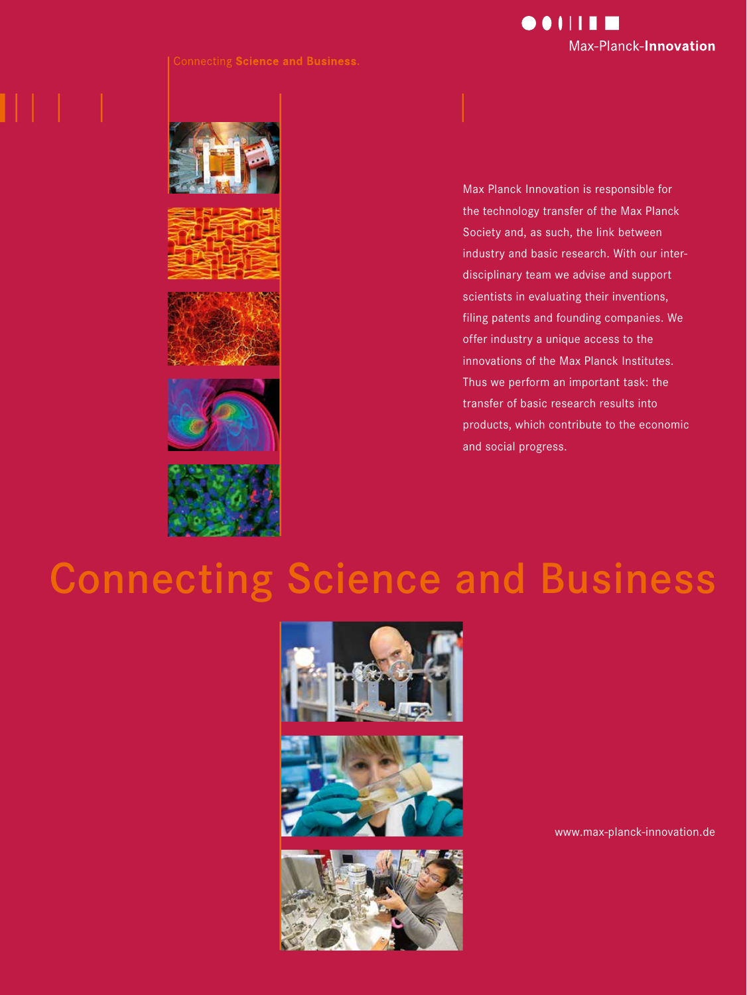







Max Planck Innovation is responsible for the technology transfer of the Max Planck Society and, as such, the link between industry and basic research. With our interdisciplinary team we advise and support scientists in evaluating their inventions, filing patents and founding companies. We offer industry a unique access to the innovations of the Max Planck Institutes. Thus we perform an important task: the transfer of basic research results into products, which contribute to the economic and social progress.

# Connecting Science and Business







www.max-planck-innovation.de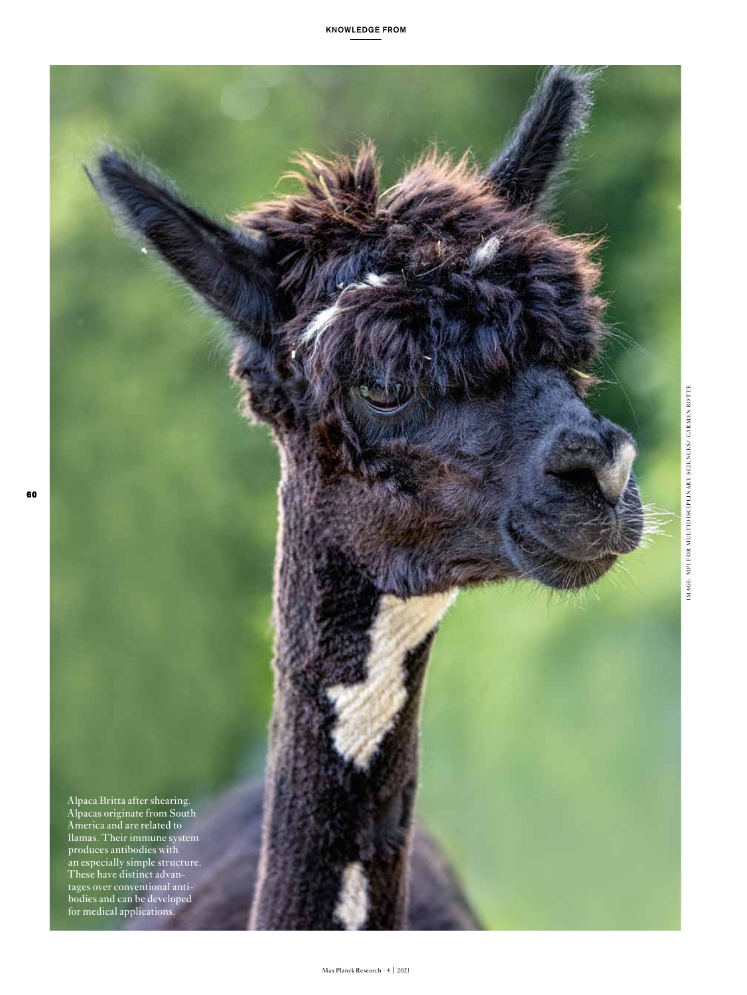

Alpaca Britta after shearing. Alpacas originate from South America and are related to llamas. Their immune system produces antibodies with an especially simple structure. These have distinct advantages over conventional antibodies and can be developed for medical applications.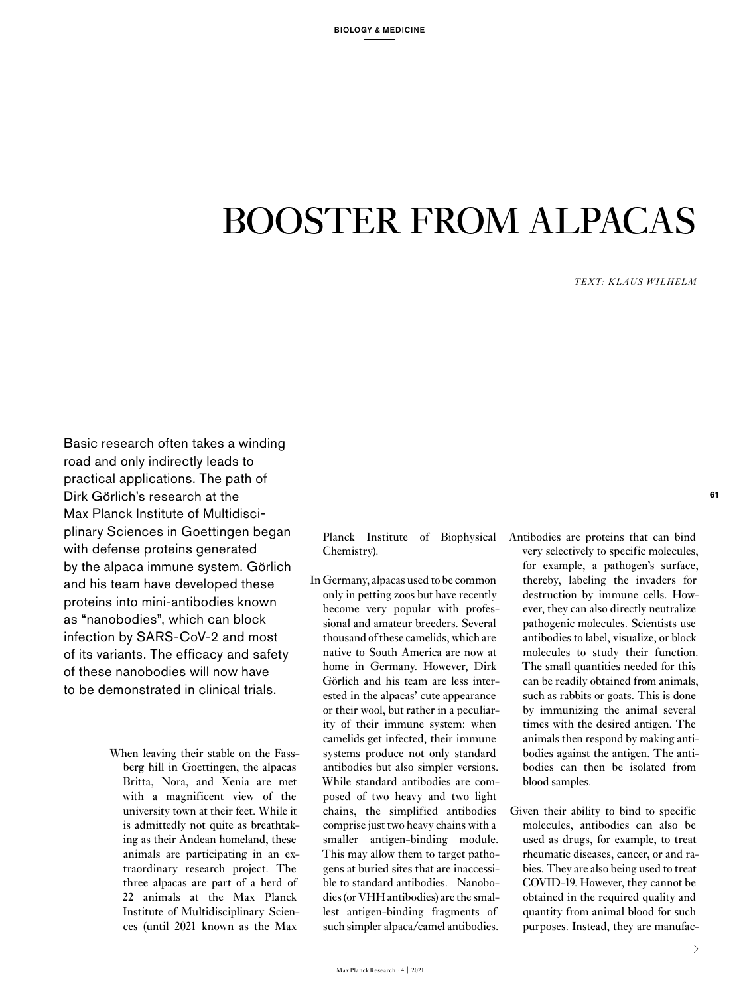# BOOSTER FROM ALPACAS

*TEXT: KLAUS WILHELM*

Basic research often takes a winding road and only indirectly leads to practical applications. The path of Dirk Görlich's research at the Max Planck Institute of Multidisciplinary Sciences in Goettingen began with defense proteins generated by the alpaca immune system. Görlich and his team have developed these proteins into mini-antibodies known as "nanobodies", which can block infection by SARS-CoV-2 and most of its variants. The efficacy and safety of these nanobodies will now have to be demonstrated in clinical trials.

> When leaving their stable on the Fassberg hill in Goettingen, the alpacas Britta, Nora, and Xenia are met with a magnificent view of the university town at their feet. While it is admittedly not quite as breathtaking as their Andean homeland, these animals are participating in an extraordinary research project. The three alpacas are part of a herd of 22 animals at the Max Planck Institute of Multidisciplinary Sciences (until 2021 known as the Max

Planck Institute of Biophysical Chemistry).

In Germany, alpacas used to be common only in petting zoos but have recently become very popular with professional and amateur breeders. Several thousand of these camelids, which are native to South America are now at home in Germany. However, Dirk Görlich and his team are less interested in the alpacas' cute appearance or their wool, but rather in a peculiarity of their immune system: when camelids get infected, their immune systems produce not only standard antibodies but also simpler versions. While standard antibodies are composed of two heavy and two light chains, the simplified antibodies comprise just two heavy chains with a smaller antigen-binding module. This may allow them to target pathogens at buried sites that are inaccessible to standard antibodies. Nanobodies (or VHH antibodies) are the smallest antigen-binding fragments of such simpler alpaca/camel antibodies.

Antibodies are proteins that can bind very selectively to specific molecules, for example, a pathogen's surface, thereby, labeling the invaders for destruction by immune cells. However, they can also directly neutralize pathogenic molecules. Scientists use antibodies to label, visualize, or block molecules to study their function. The small quantities needed for this can be readily obtained from animals, such as rabbits or goats. This is done by immunizing the animal several times with the desired antigen. The animals then respond by making antibodies against the antigen. The antibodies can then be isolated from blood samples.

Given their ability to bind to specific molecules, antibodies can also be used as drugs, for example, to treat rheumatic diseases, cancer, or and rabies. They are also being used to treat COVID-19. However, they cannot be obtained in the required quality and quantity from animal blood for such purposes. Instead, they are manufac**61**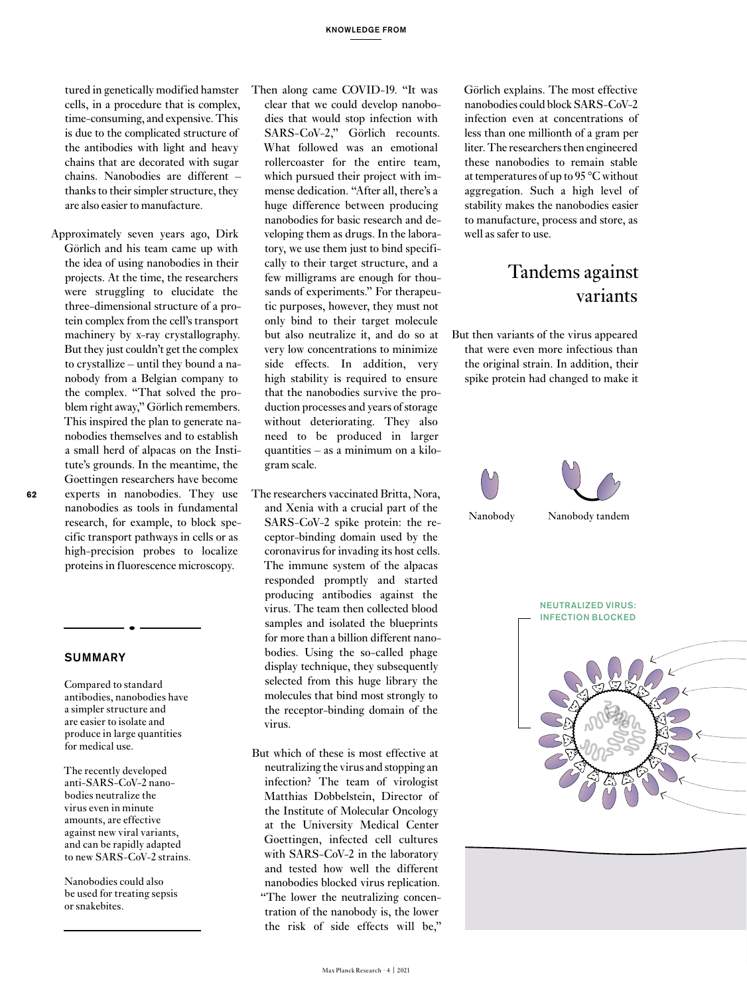tured in genetically modified hamster cells, in a procedure that is complex, time-consuming, and expensive. This is due to the complicated structure of the antibodies with light and heavy chains that are decorated with sugar chains. Nanobodies are different – thanks to their simpler structure, they are also easier to manufacture.

Approximately seven years ago, Dirk Görlich and his team came up with the idea of using nanobodies in their projects. At the time, the researchers were struggling to elucidate the three-dimensional structure of a protein complex from the cell's transport machinery by x-ray crystallography. But they just couldn't get the complex to crystallize – until they bound a nanobody from a Belgian company to the complex. "That solved the problem right away," Görlich remembers. This inspired the plan to generate nanobodies themselves and to establish a small herd of alpacas on the Institute's grounds. In the meantime, the Goettingen researchers have become experts in nanobodies. They use nanobodies as tools in fundamental research, for example, to block specific transport pathways in cells or as high-precision probes to localize proteins in fluorescence microscopy.

#### **SUMMARY**

**62**

Compared to standard antibodies, nanobodies have a simpler structure and are easier to isolate and produce in large quantities for medical use.

The recently developed anti-SARS-CoV-2 nanobodies neutralize the virus even in minute amounts, are effective against new viral variants, and can be rapidly adapted to new SARS-CoV-2 strains.

Nanobodies could also be used for treating sepsis or snakebites.

Then along came COVID-19. "It was clear that we could develop nanobodies that would stop infection with SARS-CoV-2," Görlich recounts. What followed was an emotional rollercoaster for the entire team, which pursued their project with immense dedication. "After all, there's a huge difference between producing nanobodies for basic research and developing them as drugs. In the laboratory, we use them just to bind specifically to their target structure, and a few milligrams are enough for thousands of experiments." For therapeutic purposes, however, they must not only bind to their target molecule but also neutralize it, and do so at very low concentrations to minimize side effects. In addition, very high stability is required to ensure that the nanobodies survive the production processes and years of storage without deteriorating. They also need to be produced in larger quantities – as a minimum on a kilogram scale.

- The researchers vaccinated Britta, Nora, and Xenia with a crucial part of the SARS-CoV-2 spike protein: the receptor-binding domain used by the coronavirus for invading its host cells. The immune system of the alpacas responded promptly and started producing antibodies against the virus. The team then collected blood samples and isolated the blueprints for more than a billion different nanobodies. Using the so-called phage display technique, they subsequently selected from this huge library the molecules that bind most strongly to the receptor-binding domain of the virus.
- But which of these is most effective at neutralizing the virus and stopping an infection? The team of virologist Matthias Dobbelstein, Director of the Institute of Molecular Oncology at the University Medical Center Goettingen, infected cell cultures with SARS-CoV-2 in the laboratory and tested how well the different nanobodies blocked virus replication. "The lower the neutralizing concentration of the nanobody is, the lower the risk of side effects will be,"

Görlich explains. The most effective nanobodies could block SARS-CoV-2 infection even at concentrations of less than one millionth of a gram per liter. The researchers then engineered these nanobodies to remain stable at temperatures of up to 95 °C without aggregation. Such a high level of stability makes the nanobodies easier to manufacture, process and store, as well as safer to use.

### Tandems against variants

But then variants of the virus appeared that were even more infectious than the original strain. In addition, their spike protein had changed to make it







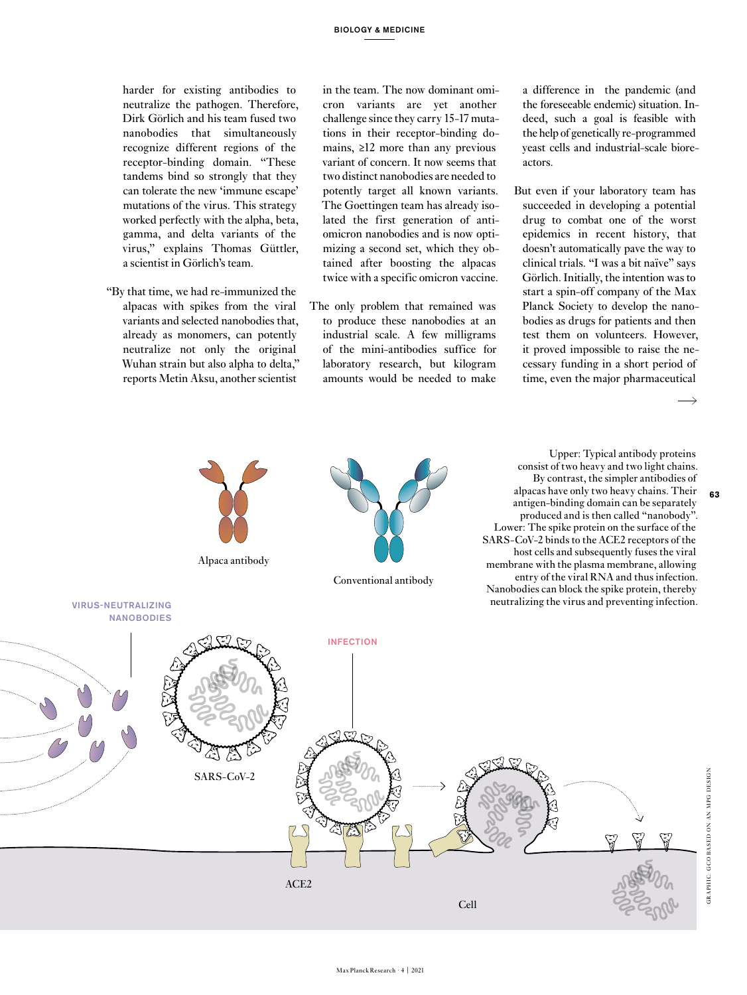harder for existing antibodies to neutralize the pathogen. Therefore, Dirk Görlich and his team fused two nanobodies that simultaneously recognize different regions of the receptor-binding domain. "These tandems bind so strongly that they can tolerate the new 'immune escape' mutations of the virus. This strategy worked perfectly with the alpha, beta, gamma, and delta variants of the virus," explains Thomas Güttler, a scientist in Görlich's team.

"By that time, we had re-immunized the alpacas with spikes from the viral variants and selected nanobodies that, already as monomers, can potently neutralize not only the original Wuhan strain but also alpha to delta," reports Metin Aksu, another scientist

in the team. The now dominant omicron variants are yet another challenge since they carry 15-17 mutations in their receptor-binding domains, ≥12 more than any previous variant of concern. It now seems that two distinct nanobodies are needed to potently target all known variants. The Goettingen team has already isolated the first generation of antiomicron nanobodies and is now optimizing a second set, which they obtained after boosting the alpacas twice with a specific omicron vaccine.

The only problem that remained was to produce these nanobodies at an industrial scale. A few milligrams of the mini-antibodies suffice for laboratory research, but kilogram amounts would be needed to make a difference in the pandemic (and the foreseeable endemic) situation. Indeed, such a goal is feasible with the help of genetically re-programmed yeast cells and industrial-scale bioreactors.

 But even if your laboratory team has succeeded in developing a potential drug to combat one of the worst epidemics in recent history, that doesn't automatically pave the way to clinical trials. "I was a bit naïve" says Görlich. Initially, the intention was to start a spin-off company of the Max Planck Society to develop the nanobodies as drugs for patients and then test them on volunteers. However, it proved impossible to raise the necessary funding in a short period of time, even the major pharmaceutical

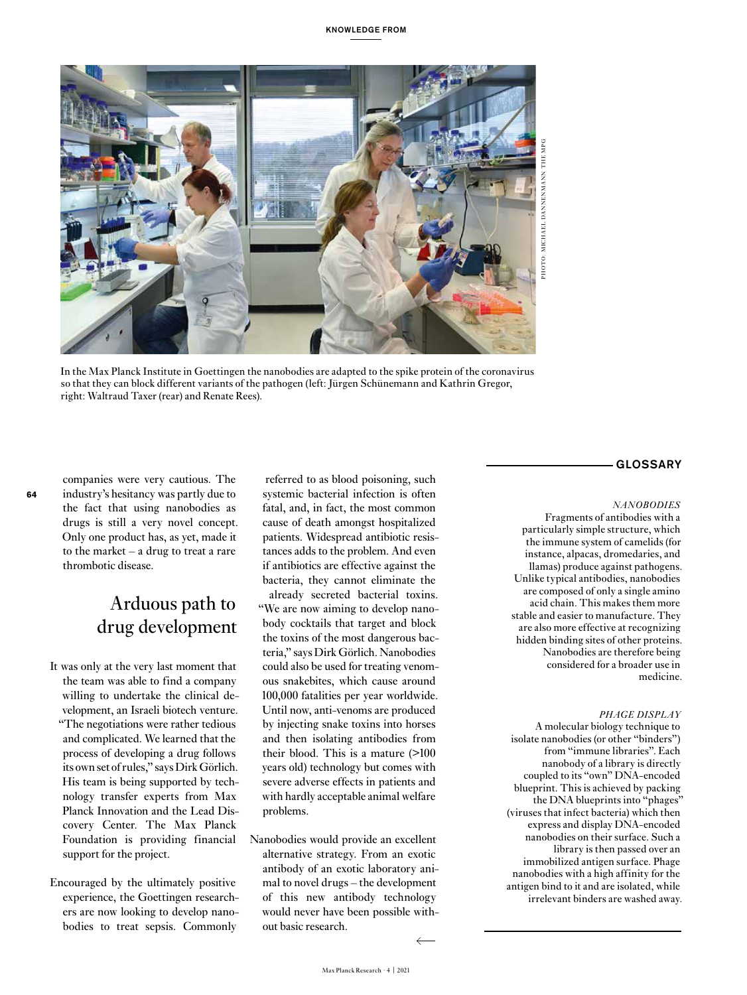

In the Max Planck Institute in Goettingen the nanobodies are adapted to the spike protein of the coronavirus so that they can block different variants of the pathogen (left: Jürgen Schünemann and Kathrin Gregor, right: Waltraud Taxer (rear) and Renate Rees).

companies were very cautious. The industry's hesitancy was partly due to the fact that using nanobodies as drugs is still a very novel concept. Only one product has, as yet, made it to the market – a drug to treat a rare thrombotic disease.

**64**

## Arduous path to drug development

- It was only at the very last moment that the team was able to find a company willing to undertake the clinical development, an Israeli biotech venture. "The negotiations were rather tedious and complicated. We learned that the process of developing a drug follows its own set of rules," says Dirk Görlich. His team is being supported by technology transfer experts from Max Planck Innovation and the Lead Discovery Center. The Max Planck Foundation is providing financial support for the project.
- Encouraged by the ultimately positive experience, the Goettingen researchers are now looking to develop nanobodies to treat sepsis. Commonly

 referred to as blood poisoning, such systemic bacterial infection is often fatal, and, in fact, the most common cause of death amongst hospitalized patients. Widespread antibiotic resistances adds to the problem. And even if antibiotics are effective against the bacteria, they cannot eliminate the already secreted bacterial toxins. "We are now aiming to develop nanobody cocktails that target and block the toxins of the most dangerous bacteria," says Dirk Görlich. Nanobodies could also be used for treating venomous snakebites, which cause around 100,000 fatalities per year worldwide. Until now, anti-venoms are produced by injecting snake toxins into horses and then isolating antibodies from their blood. This is a mature (>100 years old) technology but comes with severe adverse effects in patients and with hardly acceptable animal welfare problems.

Nanobodies would provide an excellent alternative strategy. From an exotic antibody of an exotic laboratory animal to novel drugs – the development of this new antibody technology would never have been possible without basic research.

## GLOSSARY

#### *NANOBODIES*

Fragments of antibodies with a particularly simple structure, which the immune system of camelids (for instance, alpacas, dromedaries, and llamas) produce against pathogens. Unlike typical antibodies, nanobodies are composed of only a single amino acid chain. This makes them more stable and easier to manufacture. They are also more effective at recognizing hidden binding sites of other proteins. Nanobodies are therefore being considered for a broader use in medicine.

#### *PHAGE DISPLAY*

A molecular biology technique to isolate nanobodies (or other "binders") from "immune libraries". Each nanobody of a library is directly coupled to its "own" DNA-encoded blueprint. This is achieved by packing the DNA blueprints into "phages" (viruses that infect bacteria) which then express and display DNA-encoded nanobodies on their surface. Such a library is then passed over an immobilized antigen surface. Phage nanobodies with a high affinity for the antigen bind to it and are isolated, while irrelevant binders are washed away.